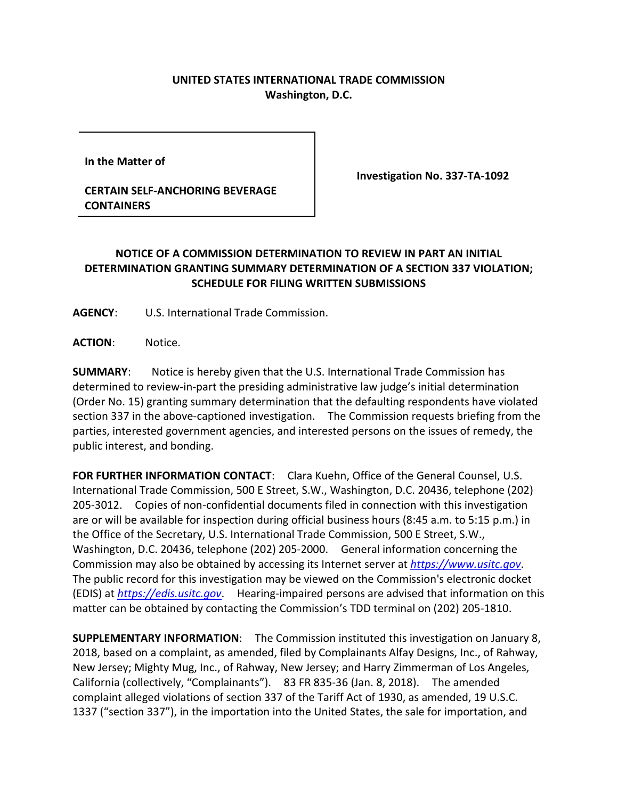## **UNITED STATES INTERNATIONAL TRADE COMMISSION Washington, D.C.**

**In the Matter of** 

**CERTAIN SELF-ANCHORING BEVERAGE CONTAINERS**

**Investigation No. 337-TA-1092**

## **NOTICE OF A COMMISSION DETERMINATION TO REVIEW IN PART AN INITIAL DETERMINATION GRANTING SUMMARY DETERMINATION OF A SECTION 337 VIOLATION; SCHEDULE FOR FILING WRITTEN SUBMISSIONS**

**AGENCY**: U.S. International Trade Commission.

**ACTION**: Notice.

**SUMMARY**: Notice is hereby given that the U.S. International Trade Commission has determined to review-in-part the presiding administrative law judge's initial determination (Order No. 15) granting summary determination that the defaulting respondents have violated section 337 in the above-captioned investigation. The Commission requests briefing from the parties, interested government agencies, and interested persons on the issues of remedy, the public interest, and bonding.

**FOR FURTHER INFORMATION CONTACT**: Clara Kuehn, Office of the General Counsel, U.S. International Trade Commission, 500 E Street, S.W., Washington, D.C. 20436, telephone (202) 205-3012. Copies of non-confidential documents filed in connection with this investigation are or will be available for inspection during official business hours (8:45 a.m. to 5:15 p.m.) in the Office of the Secretary, U.S. International Trade Commission, 500 E Street, S.W., Washington, D.C. 20436, telephone (202) 205-2000. General information concerning the Commission may also be obtained by accessing its Internet server at *[https://www.usitc.gov](https://www.usitc.gov/)*. The public record for this investigation may be viewed on the Commission's electronic docket (EDIS) at *[https://edis.usitc.gov](https://edis.usitc.gov/)*. Hearing-impaired persons are advised that information on this matter can be obtained by contacting the Commission's TDD terminal on (202) 205-1810.

**SUPPLEMENTARY INFORMATION**: The Commission instituted this investigation on January 8, 2018, based on a complaint, as amended, filed by Complainants Alfay Designs, Inc., of Rahway, New Jersey; Mighty Mug, Inc., of Rahway, New Jersey; and Harry Zimmerman of Los Angeles, California (collectively, "Complainants"). 83 FR 835-36 (Jan. 8, 2018). The amended complaint alleged violations of section 337 of the Tariff Act of 1930, as amended, 19 U.S.C. 1337 ("section 337"), in the importation into the United States, the sale for importation, and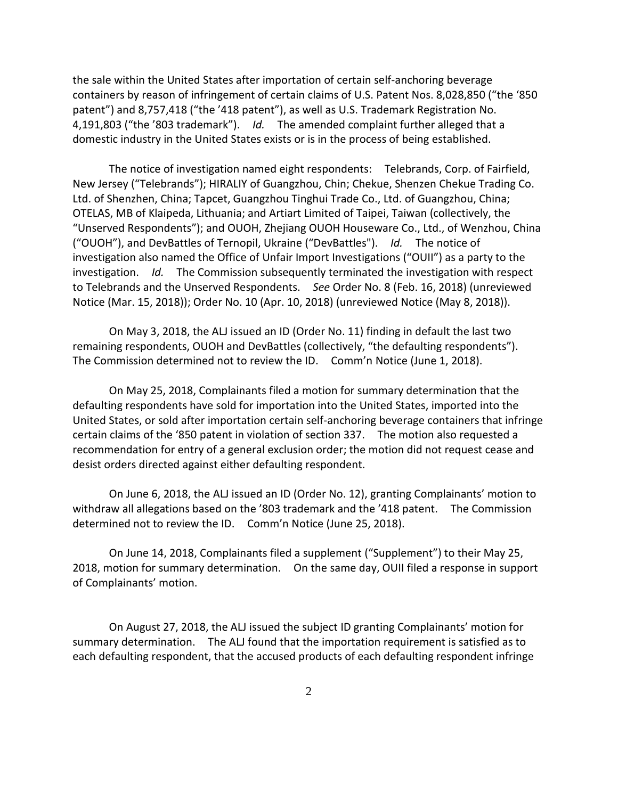the sale within the United States after importation of certain self-anchoring beverage containers by reason of infringement of certain claims of U.S. Patent Nos. 8,028,850 ("the '850 patent") and 8,757,418 ("the '418 patent"), as well as U.S. Trademark Registration No. 4,191,803 ("the '803 trademark"). *Id.* The amended complaint further alleged that a domestic industry in the United States exists or is in the process of being established.

The notice of investigation named eight respondents: Telebrands, Corp. of Fairfield, New Jersey ("Telebrands"); HIRALIY of Guangzhou, Chin; Chekue, Shenzen Chekue Trading Co. Ltd. of Shenzhen, China; Tapcet, Guangzhou Tinghui Trade Co., Ltd. of Guangzhou, China; OTELAS, MB of Klaipeda, Lithuania; and Artiart Limited of Taipei, Taiwan (collectively, the "Unserved Respondents"); and OUOH, Zhejiang OUOH Houseware Co., Ltd., of Wenzhou, China ("OUOH"), and DevBattles of Ternopil, Ukraine ("DevBattles"). *Id.* The notice of investigation also named the Office of Unfair Import Investigations ("OUII") as a party to the investigation. *Id.* The Commission subsequently terminated the investigation with respect to Telebrands and the Unserved Respondents. *See* Order No. 8 (Feb. 16, 2018) (unreviewed Notice (Mar. 15, 2018)); Order No. 10 (Apr. 10, 2018) (unreviewed Notice (May 8, 2018)).

On May 3, 2018, the ALJ issued an ID (Order No. 11) finding in default the last two remaining respondents, OUOH and DevBattles (collectively, "the defaulting respondents"). The Commission determined not to review the ID. Comm'n Notice (June 1, 2018).

On May 25, 2018, Complainants filed a motion for summary determination that the defaulting respondents have sold for importation into the United States, imported into the United States, or sold after importation certain self-anchoring beverage containers that infringe certain claims of the '850 patent in violation of section 337. The motion also requested a recommendation for entry of a general exclusion order; the motion did not request cease and desist orders directed against either defaulting respondent.

On June 6, 2018, the ALJ issued an ID (Order No. 12), granting Complainants' motion to withdraw all allegations based on the '803 trademark and the '418 patent. The Commission determined not to review the ID. Comm'n Notice (June 25, 2018).

On June 14, 2018, Complainants filed a supplement ("Supplement") to their May 25, 2018, motion for summary determination. On the same day, OUII filed a response in support of Complainants' motion.

On August 27, 2018, the ALJ issued the subject ID granting Complainants' motion for summary determination. The ALJ found that the importation requirement is satisfied as to each defaulting respondent, that the accused products of each defaulting respondent infringe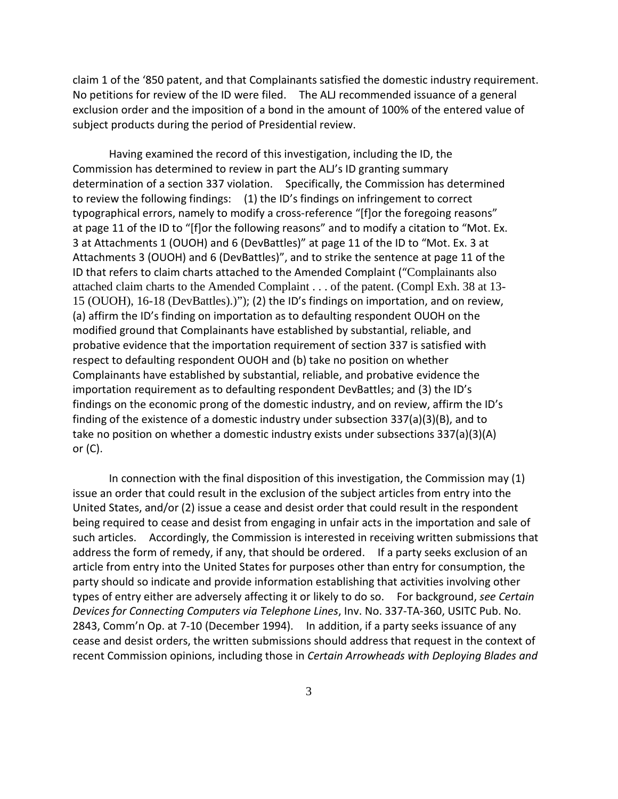claim 1 of the '850 patent, and that Complainants satisfied the domestic industry requirement. No petitions for review of the ID were filed. The ALJ recommended issuance of a general exclusion order and the imposition of a bond in the amount of 100% of the entered value of subject products during the period of Presidential review.

Having examined the record of this investigation, including the ID, the Commission has determined to review in part the ALJ's ID granting summary determination of a section 337 violation. Specifically, the Commission has determined to review the following findings: (1) the ID's findings on infringement to correct typographical errors, namely to modify a cross-reference "[f]or the foregoing reasons" at page 11 of the ID to "[f]or the following reasons" and to modify a citation to "Mot. Ex. 3 at Attachments 1 (OUOH) and 6 (DevBattles)" at page 11 of the ID to "Mot. Ex. 3 at Attachments 3 (OUOH) and 6 (DevBattles)", and to strike the sentence at page 11 of the ID that refers to claim charts attached to the Amended Complaint ("Complainants also attached claim charts to the Amended Complaint . . . of the patent. (Compl Exh. 38 at 13- 15 (OUOH), 16-18 (DevBattles).)"); (2) the ID's findings on importation, and on review, (a) affirm the ID's finding on importation as to defaulting respondent OUOH on the modified ground that Complainants have established by substantial, reliable, and probative evidence that the importation requirement of section 337 is satisfied with respect to defaulting respondent OUOH and (b) take no position on whether Complainants have established by substantial, reliable, and probative evidence the importation requirement as to defaulting respondent DevBattles; and (3) the ID's findings on the economic prong of the domestic industry, and on review, affirm the ID's finding of the existence of a domestic industry under subsection 337(a)(3)(B), and to take no position on whether a domestic industry exists under subsections 337(a)(3)(A) or (C).

In connection with the final disposition of this investigation, the Commission may (1) issue an order that could result in the exclusion of the subject articles from entry into the United States, and/or (2) issue a cease and desist order that could result in the respondent being required to cease and desist from engaging in unfair acts in the importation and sale of such articles. Accordingly, the Commission is interested in receiving written submissions that address the form of remedy, if any, that should be ordered. If a party seeks exclusion of an article from entry into the United States for purposes other than entry for consumption, the party should so indicate and provide information establishing that activities involving other types of entry either are adversely affecting it or likely to do so. For background, *see Certain Devices for Connecting Computers via Telephone Lines*, Inv. No. 337-TA-360, USITC Pub. No. 2843, Comm'n Op. at 7-10 (December 1994). In addition, if a party seeks issuance of any cease and desist orders, the written submissions should address that request in the context of recent Commission opinions, including those in *Certain Arrowheads with Deploying Blades and*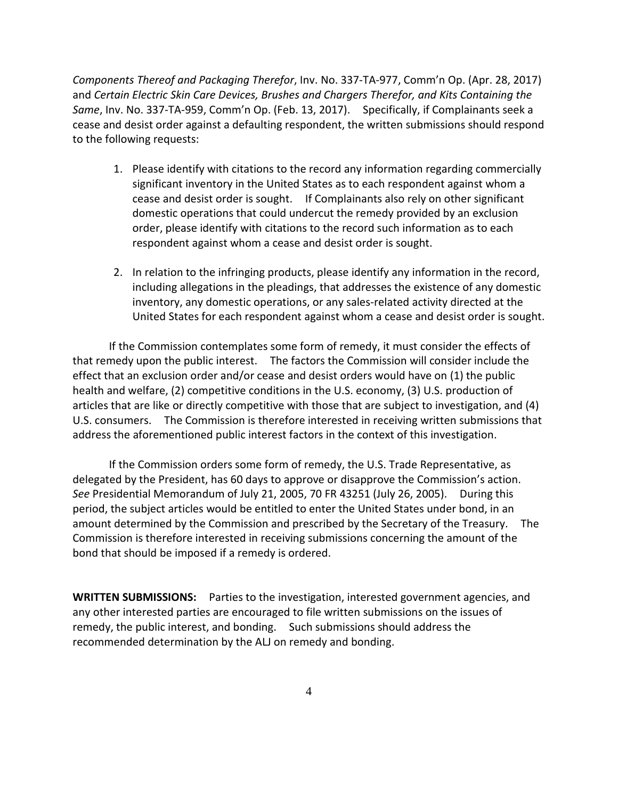*Components Thereof and Packaging Therefor*, Inv. No. 337-TA-977, Comm'n Op. (Apr. 28, 2017) and *Certain Electric Skin Care Devices, Brushes and Chargers Therefor, and Kits Containing the Same*, Inv. No. 337-TA-959, Comm'n Op. (Feb. 13, 2017). Specifically, if Complainants seek a cease and desist order against a defaulting respondent, the written submissions should respond to the following requests:

- 1. Please identify with citations to the record any information regarding commercially significant inventory in the United States as to each respondent against whom a cease and desist order is sought. If Complainants also rely on other significant domestic operations that could undercut the remedy provided by an exclusion order, please identify with citations to the record such information as to each respondent against whom a cease and desist order is sought.
- 2. In relation to the infringing products, please identify any information in the record, including allegations in the pleadings, that addresses the existence of any domestic inventory, any domestic operations, or any sales-related activity directed at the United States for each respondent against whom a cease and desist order is sought.

If the Commission contemplates some form of remedy, it must consider the effects of that remedy upon the public interest. The factors the Commission will consider include the effect that an exclusion order and/or cease and desist orders would have on (1) the public health and welfare, (2) competitive conditions in the U.S. economy, (3) U.S. production of articles that are like or directly competitive with those that are subject to investigation, and (4) U.S. consumers. The Commission is therefore interested in receiving written submissions that address the aforementioned public interest factors in the context of this investigation.

If the Commission orders some form of remedy, the U.S. Trade Representative, as delegated by the President, has 60 days to approve or disapprove the Commission's action. *See* Presidential Memorandum of July 21, 2005, 70 FR 43251 (July 26, 2005). During this period, the subject articles would be entitled to enter the United States under bond, in an amount determined by the Commission and prescribed by the Secretary of the Treasury. The Commission is therefore interested in receiving submissions concerning the amount of the bond that should be imposed if a remedy is ordered.

**WRITTEN SUBMISSIONS:** Parties to the investigation, interested government agencies, and any other interested parties are encouraged to file written submissions on the issues of remedy, the public interest, and bonding. Such submissions should address the recommended determination by the ALJ on remedy and bonding.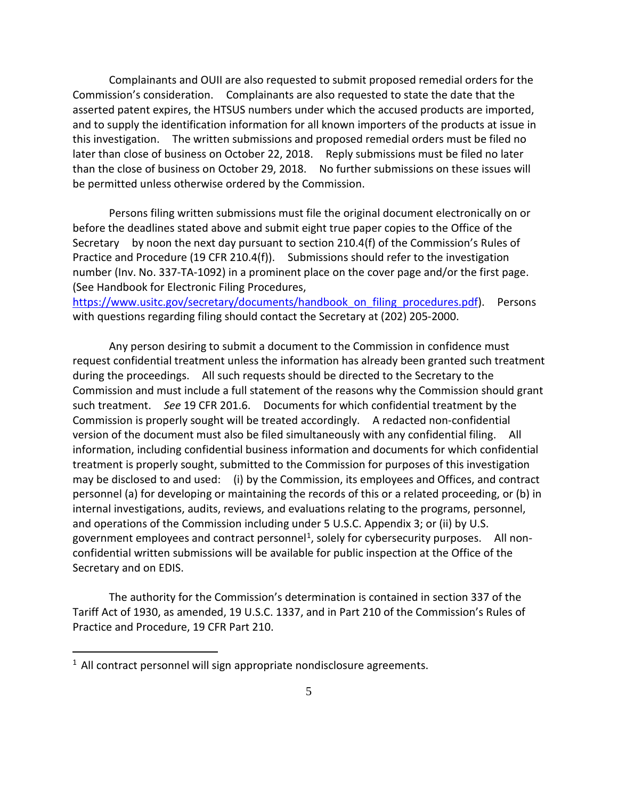Complainants and OUII are also requested to submit proposed remedial orders for the Commission's consideration. Complainants are also requested to state the date that the asserted patent expires, the HTSUS numbers under which the accused products are imported, and to supply the identification information for all known importers of the products at issue in this investigation. The written submissions and proposed remedial orders must be filed no later than close of business on October 22, 2018. Reply submissions must be filed no later than the close of business on October 29, 2018. No further submissions on these issues will be permitted unless otherwise ordered by the Commission.

Persons filing written submissions must file the original document electronically on or before the deadlines stated above and submit eight true paper copies to the Office of the Secretary by noon the next day pursuant to section 210.4(f) of the Commission's Rules of Practice and Procedure (19 CFR 210.4(f)). Submissions should refer to the investigation number (Inv. No. 337-TA-1092) in a prominent place on the cover page and/or the first page. (See Handbook for Electronic Filing Procedures,

https://www.usitc.gov/secretary/documents/handbook on filing procedures.pdf). Persons with questions regarding filing should contact the Secretary at (202) 205-2000.

Any person desiring to submit a document to the Commission in confidence must request confidential treatment unless the information has already been granted such treatment during the proceedings. All such requests should be directed to the Secretary to the Commission and must include a full statement of the reasons why the Commission should grant such treatment. *See* 19 CFR 201.6. Documents for which confidential treatment by the Commission is properly sought will be treated accordingly. A redacted non-confidential version of the document must also be filed simultaneously with any confidential filing. All information, including confidential business information and documents for which confidential treatment is properly sought, submitted to the Commission for purposes of this investigation may be disclosed to and used: (i) by the Commission, its employees and Offices, and contract personnel (a) for developing or maintaining the records of this or a related proceeding, or (b) in internal investigations, audits, reviews, and evaluations relating to the programs, personnel, and operations of the Commission including under 5 U.S.C. Appendix 3; or (ii) by U.S. government employees and contract personnel<sup>[1](#page-4-0)</sup>, solely for cybersecurity purposes. All nonconfidential written submissions will be available for public inspection at the Office of the Secretary and on EDIS.

The authority for the Commission's determination is contained in section 337 of the Tariff Act of 1930, as amended, 19 U.S.C. 1337, and in Part 210 of the Commission's Rules of Practice and Procedure, 19 CFR Part 210.

 $\overline{a}$ 

<span id="page-4-0"></span> $1$  All contract personnel will sign appropriate nondisclosure agreements.